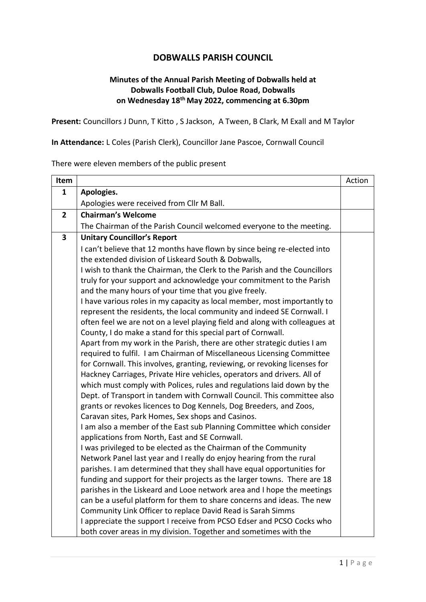## **DOBWALLS PARISH COUNCIL**

## **Minutes of the Annual Parish Meeting of Dobwalls held at Dobwalls Football Club, Duloe Road, Dobwalls on Wednesday 18th May 2022, commencing at 6.30pm**

**Present:** Councillors J Dunn, T Kitto , S Jackson, A Tween, B Clark, M Exall and M Taylor

**In Attendance:** L Coles (Parish Clerk), Councillor Jane Pascoe, Cornwall Council

There were eleven members of the public present

| Item                    |                                                                                                                                                   | Action |
|-------------------------|---------------------------------------------------------------------------------------------------------------------------------------------------|--------|
| $\mathbf{1}$            | Apologies.                                                                                                                                        |        |
|                         | Apologies were received from Cllr M Ball.                                                                                                         |        |
| $\overline{2}$          | <b>Chairman's Welcome</b>                                                                                                                         |        |
|                         | The Chairman of the Parish Council welcomed everyone to the meeting.                                                                              |        |
| $\overline{\mathbf{3}}$ | <b>Unitary Councillor's Report</b>                                                                                                                |        |
|                         | I can't believe that 12 months have flown by since being re-elected into                                                                          |        |
|                         | the extended division of Liskeard South & Dobwalls,                                                                                               |        |
|                         | I wish to thank the Chairman, the Clerk to the Parish and the Councillors                                                                         |        |
|                         | truly for your support and acknowledge your commitment to the Parish                                                                              |        |
|                         | and the many hours of your time that you give freely.                                                                                             |        |
|                         | I have various roles in my capacity as local member, most importantly to                                                                          |        |
|                         | represent the residents, the local community and indeed SE Cornwall. I                                                                            |        |
|                         | often feel we are not on a level playing field and along with colleagues at                                                                       |        |
|                         | County, I do make a stand for this special part of Cornwall.                                                                                      |        |
|                         | Apart from my work in the Parish, there are other strategic duties I am                                                                           |        |
|                         | required to fulfil. I am Chairman of Miscellaneous Licensing Committee                                                                            |        |
|                         | for Cornwall. This involves, granting, reviewing, or revoking licenses for                                                                        |        |
|                         | Hackney Carriages, Private Hire vehicles, operators and drivers. All of                                                                           |        |
|                         | which must comply with Polices, rules and regulations laid down by the<br>Dept. of Transport in tandem with Cornwall Council. This committee also |        |
|                         | grants or revokes licences to Dog Kennels, Dog Breeders, and Zoos,                                                                                |        |
|                         | Caravan sites, Park Homes, Sex shops and Casinos.                                                                                                 |        |
|                         | I am also a member of the East sub Planning Committee which consider                                                                              |        |
|                         | applications from North, East and SE Cornwall.                                                                                                    |        |
|                         | I was privileged to be elected as the Chairman of the Community                                                                                   |        |
|                         | Network Panel last year and I really do enjoy hearing from the rural                                                                              |        |
|                         | parishes. I am determined that they shall have equal opportunities for                                                                            |        |
|                         | funding and support for their projects as the larger towns. There are 18                                                                          |        |
|                         | parishes in the Liskeard and Looe network area and I hope the meetings                                                                            |        |
|                         | can be a useful platform for them to share concerns and ideas. The new                                                                            |        |
|                         | Community Link Officer to replace David Read is Sarah Simms                                                                                       |        |
|                         | I appreciate the support I receive from PCSO Edser and PCSO Cocks who                                                                             |        |
|                         | both cover areas in my division. Together and sometimes with the                                                                                  |        |